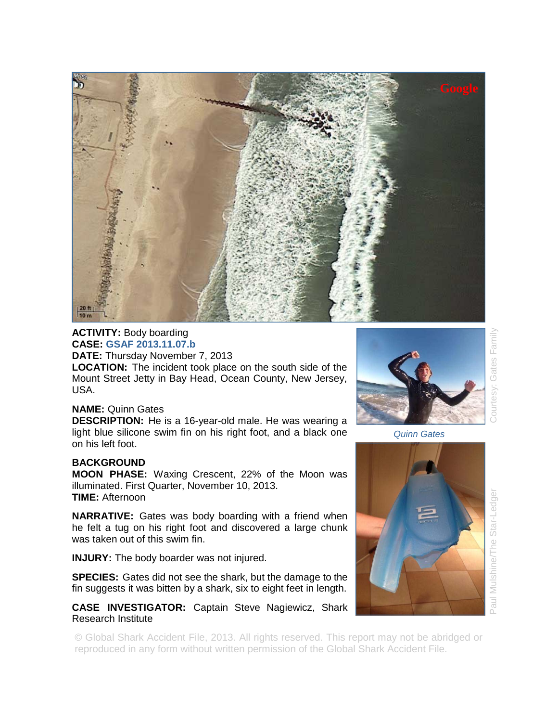

**ACTIVITY:** Body boarding **CASE: GSAF 2013.11.07.b DATE:** Thursday November 7, 2013

**LOCATION:** The incident took place on the south side of the Mount Street Jetty in Bay Head, Ocean County, New Jersey, USA.

## **NAME:** Quinn Gates

**DESCRIPTION:** He is a 16-year-old male. He was wearing a light blue silicone swim fin on his right foot, and a black one on his left foot.

## **BACKGROUND**

**MOON PHASE:** Waxing Crescent, 22% of the Moon was illuminated. First Quarter, November 10, 2013. **TIME:** Afternoon

**NARRATIVE:** Gates was body boarding with a friend when he felt a tug on his right foot and discovered a large chunk was taken out of this swim fin.

**INJURY:** The body boarder was not injured.

**SPECIES:** Gates did not see the shark, but the damage to the fin suggests it was bitten by a shark, six to eight feet in length.

## **CASE INVESTIGATOR:** Captain Steve Nagiewicz, Shark Research Institute

© Global Shark Accident File, 2013. All rights reserved. This report may not be abridged or reproduced in any form without written permission of the Global Shark Accident File.



*Quinn Gates* 



Family Gates ourtesy:

Paul Mulshine/The Star-Ledger Courtesy: Gates Family Star-Ledge Mulshine/The lne.